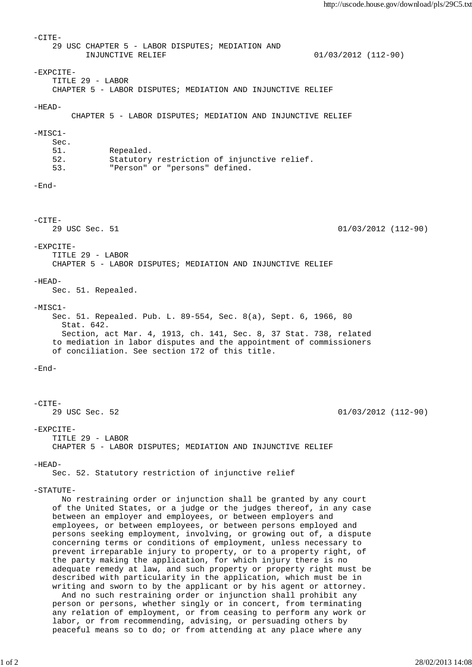-CITE- 29 USC CHAPTER 5 - LABOR DISPUTES; MEDIATION AND INJUNCTIVE RELIEF 01/03/2012 (112-90)  $-$ EXPCITE $-$  TITLE 29 - LABOR CHAPTER 5 - LABOR DISPUTES; MEDIATION AND INJUNCTIVE RELIEF  $-HEAD-$  CHAPTER 5 - LABOR DISPUTES; MEDIATION AND INJUNCTIVE RELIEF -MISC1- Sec. 51. Repealed. 52. Statutory restriction of injunctive relief. 53. "Person" or "persons" defined. -End- -CITE- 29 USC Sec. 51 01/03/2012 (112-90) -EXPCITE- TITLE 29 - LABOR CHAPTER 5 - LABOR DISPUTES; MEDIATION AND INJUNCTIVE RELIEF  $-HEAD-$  Sec. 51. Repealed.  $-MTSC1-$  Sec. 51. Repealed. Pub. L. 89-554, Sec. 8(a), Sept. 6, 1966, 80 Stat. 642. Section, act Mar. 4, 1913, ch. 141, Sec. 8, 37 Stat. 738, related to mediation in labor disputes and the appointment of commissioners of conciliation. See section 172 of this title. -End- -CITE-<br>29 USC Sec. 52  $01/03/2012$  (112-90) -EXPCITE- TITLE 29 - LABOR CHAPTER 5 - LABOR DISPUTES; MEDIATION AND INJUNCTIVE RELIEF -HEAD- Sec. 52. Statutory restriction of injunctive relief -STATUTE- No restraining order or injunction shall be granted by any court of the United States, or a judge or the judges thereof, in any case between an employer and employees, or between employers and employees, or between employees, or between persons employed and persons seeking employment, involving, or growing out of, a dispute concerning terms or conditions of employment, unless necessary to prevent irreparable injury to property, or to a property right, of the party making the application, for which injury there is no adequate remedy at law, and such property or property right must be described with particularity in the application, which must be in writing and sworn to by the applicant or by his agent or attorney. And no such restraining order or injunction shall prohibit any person or persons, whether singly or in concert, from terminating any relation of employment, or from ceasing to perform any work or labor, or from recommending, advising, or persuading others by peaceful means so to do; or from attending at any place where any